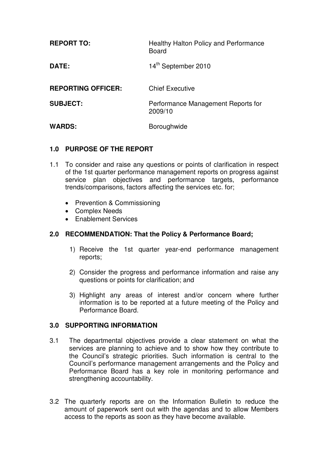| <b>REPORT TO:</b>         | <b>Healthy Halton Policy and Performance</b><br><b>Board</b> |
|---------------------------|--------------------------------------------------------------|
| DATE:                     | 14 <sup>th</sup> September 2010                              |
| <b>REPORTING OFFICER:</b> | <b>Chief Executive</b>                                       |
| <b>SUBJECT:</b>           | Performance Management Reports for<br>2009/10                |
| <b>WARDS:</b>             | Boroughwide                                                  |

# **1.0 PURPOSE OF THE REPORT**

- 1.1 To consider and raise any questions or points of clarification in respect of the 1st quarter performance management reports on progress against service plan objectives and performance targets, performance trends/comparisons, factors affecting the services etc. for;
	- Prevention & Commissioning
	- Complex Needs
	- Enablement Services

## **2.0 RECOMMENDATION: That the Policy & Performance Board;**

- 1) Receive the 1st quarter year-end performance management reports;
- 2) Consider the progress and performance information and raise any questions or points for clarification; and
- 3) Highlight any areas of interest and/or concern where further information is to be reported at a future meeting of the Policy and Performance Board.

#### **3.0 SUPPORTING INFORMATION**

- 3.1 The departmental objectives provide a clear statement on what the services are planning to achieve and to show how they contribute to the Council's strategic priorities. Such information is central to the Council's performance management arrangements and the Policy and Performance Board has a key role in monitoring performance and strengthening accountability.
- 3.2 The quarterly reports are on the Information Bulletin to reduce the amount of paperwork sent out with the agendas and to allow Members access to the reports as soon as they have become available.